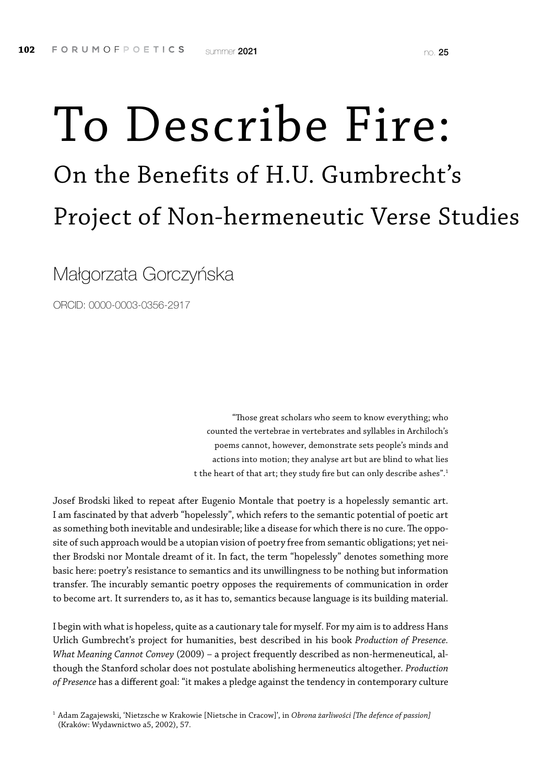# To Describe Fire: On the Benefits of H.U. Gumbrecht's Project of Non-hermeneutic Verse Studies

Małgorzata Gorczyńska

ORCID: 0000-0003-0356-2917

"Those great scholars who seem to know everything; who counted the vertebrae in vertebrates and syllables in Archiloch's poems cannot, however, demonstrate sets people's minds and actions into motion; they analyse art but are blind to what lies t the heart of that art; they study fire but can only describe ashes".<sup>1</sup>

Josef Brodski liked to repeat after Eugenio Montale that poetry is a hopelessly semantic art. I am fascinated by that adverb "hopelessly", which refers to the semantic potential of poetic art as something both inevitable and undesirable; like a disease for which there is no cure. The opposite of such approach would be a utopian vision of poetry free from semantic obligations; yet neither Brodski nor Montale dreamt of it. In fact, the term "hopelessly" denotes something more basic here: poetry's resistance to semantics and its unwillingness to be nothing but information transfer. The incurably semantic poetry opposes the requirements of communication in order to become art. It surrenders to, as it has to, semantics because language is its building material.

I begin with what is hopeless, quite as a cautionary tale for myself. For my aim is to address Hans Urlich Gumbrecht's project for humanities, best described in his book *Production of Presence. What Meaning Cannot Convey* (2009) – a project frequently described as non-hermeneutical, although the Stanford scholar does not postulate abolishing hermeneutics altogether. *Production of Presence* has a different goal: "it makes a pledge against the tendency in contemporary culture

<sup>1</sup> Adam Zagajewski, 'Nietzsche w Krakowie [Nietsche in Cracow]', in *Obrona żarliwości [The defence of passion]* (Kraków: Wydawnictwo a5, 2002), 57.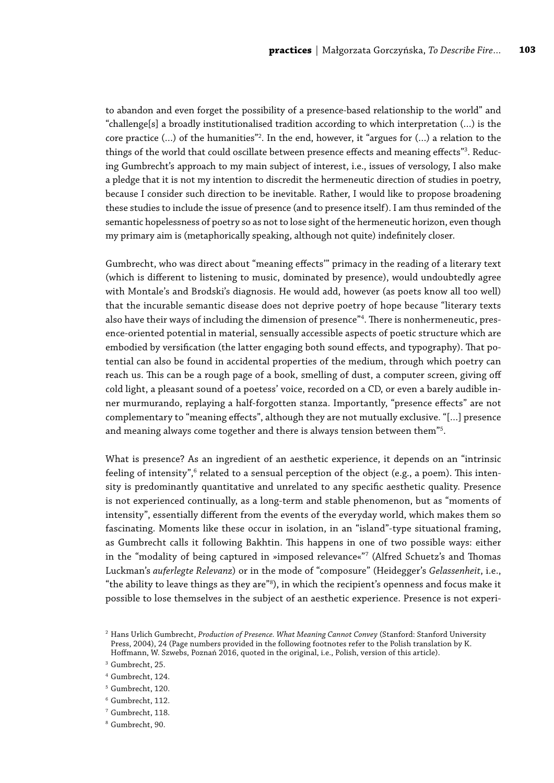to abandon and even forget the possibility of a presence-based relationship to the world" and "challenge[s] a broadly institutionalised tradition according to which interpretation (…) is the core practice (…) of the humanities"2 . In the end, however, it "argues for (…) a relation to the things of the world that could oscillate between presence effects and meaning effects"<sup>3</sup>. Reducing Gumbrecht's approach to my main subject of interest, i.e., issues of versology, I also make a pledge that it is not my intention to discredit the hermeneutic direction of studies in poetry, because I consider such direction to be inevitable. Rather, I would like to propose broadening these studies to include the issue of presence (and to presence itself). I am thus reminded of the semantic hopelessness of poetry so as not to lose sight of the hermeneutic horizon, even though my primary aim is (metaphorically speaking, although not quite) indefinitely closer.

Gumbrecht, who was direct about "meaning effects'" primacy in the reading of a literary text (which is different to listening to music, dominated by presence), would undoubtedly agree with Montale's and Brodski's diagnosis. He would add, however (as poets know all too well) that the incurable semantic disease does not deprive poetry of hope because "literary texts also have their ways of including the dimension of presence"4 . There is nonhermeneutic, presence-oriented potential in material, sensually accessible aspects of poetic structure which are embodied by versification (the latter engaging both sound effects, and typography). That potential can also be found in accidental properties of the medium, through which poetry can reach us. This can be a rough page of a book, smelling of dust, a computer screen, giving off cold light, a pleasant sound of a poetess' voice, recorded on a CD, or even a barely audible inner murmurando, replaying a half-forgotten stanza. Importantly, "presence effects" are not complementary to "meaning effects", although they are not mutually exclusive. "[…] presence and meaning always come together and there is always tension between them"5 .

What is presence? As an ingredient of an aesthetic experience, it depends on an "intrinsic feeling of intensity", $^6$  related to a sensual perception of the object (e.g., a poem). This intensity is predominantly quantitative and unrelated to any specific aesthetic quality. Presence is not experienced continually, as a long-term and stable phenomenon, but as "moments of intensity", essentially different from the events of the everyday world, which makes them so fascinating. Moments like these occur in isolation, in an "island"-type situational framing, as Gumbrecht calls it following Bakhtin. This happens in one of two possible ways: either in the "modality of being captured in »imposed relevance«"7 (Alfred Schuetz's and Thomas Luckman's *auferlegte Relevanz*) or in the mode of "composure" (Heidegger's *Gelassenheit*, i.e., "the ability to leave things as they are"8 ), in which the recipient's openness and focus make it possible to lose themselves in the subject of an aesthetic experience. Presence is not experi-

<sup>2</sup> Hans Urlich Gumbrecht, *Production of Presence. What Meaning Cannot Convey* (Stanford: Stanford University Press, 2004), 24 (Page numbers provided in the following footnotes refer to the Polish translation by K. Hoffmann, W. Szwebs, Poznań 2016, quoted in the original, i.e., Polish, version of this article).

<sup>&</sup>lt;sup>3</sup> Gumbrecht, 25.

<sup>4</sup> Gumbrecht, 124.

<sup>&</sup>lt;sup>5</sup> Gumbrecht, 120.

<sup>6</sup> Gumbrecht, 112.

<sup>7</sup> Gumbrecht, 118.

<sup>8</sup> Gumbrecht, 90.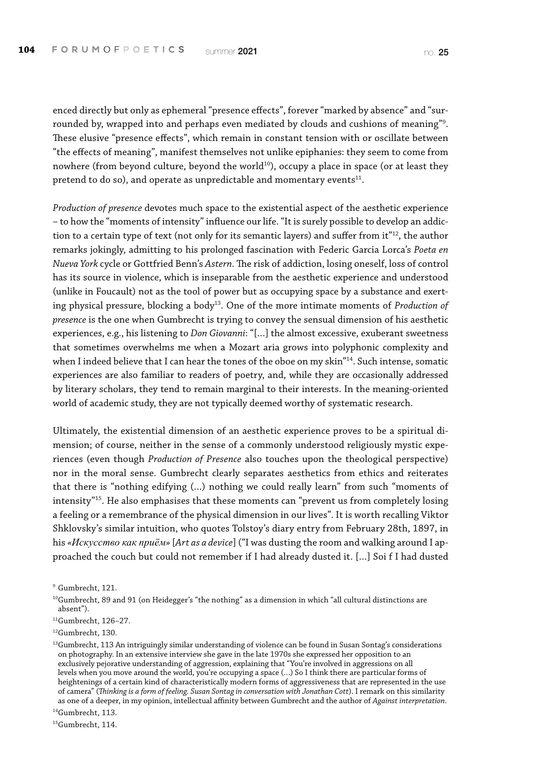enced directly but only as ephemeral "presence effects", forever "marked by absence" and "surrounded by, wrapped into and perhaps even mediated by clouds and cushions of meaning"9 . These elusive "presence effects", which remain in constant tension with or oscillate between "the effects of meaning", manifest themselves not unlike epiphanies: they seem to come from nowhere (from beyond culture, beyond the world<sup>10</sup>), occupy a place in space (or at least they pretend to do so), and operate as unpredictable and momentary events<sup>11</sup>.

*Production of presence* devotes much space to the existential aspect of the aesthetic experience – to how the "moments of intensity" influence our life. "It is surely possible to develop an addiction to a certain type of text (not only for its semantic layers) and suffer from it"12, the author remarks jokingly, admitting to his prolonged fascination with Federic Garcia Lorca's *Poeta en Nueva York* cycle or Gottfried Benn's *Astern.* The risk of addiction, losing oneself, loss of control has its source in violence, which is inseparable from the aesthetic experience and understood (unlike in Foucault) not as the tool of power but as occupying space by a substance and exerting physical pressure, blocking a body13. One of the more intimate moments of *Production of presence* is the one when Gumbrecht is trying to convey the sensual dimension of his aesthetic experiences, e.g., his listening to *Don Giovanni*: "[…] the almost excessive, exuberant sweetness that sometimes overwhelms me when a Mozart aria grows into polyphonic complexity and when I indeed believe that I can hear the tones of the oboe on my skin"14. Such intense, somatic experiences are also familiar to readers of poetry, and, while they are occasionally addressed by literary scholars, they tend to remain marginal to their interests. In the meaning-oriented world of academic study, they are not typically deemed worthy of systematic research.

Ultimately, the existential dimension of an aesthetic experience proves to be a spiritual dimension; of course, neither in the sense of a commonly understood religiously mystic experiences (even though *Production of Presence* also touches upon the theological perspective) nor in the moral sense. Gumbrecht clearly separates aesthetics from ethics and reiterates that there is "nothing edifying (…) nothing we could really learn" from such "moments of intensity"15. He also emphasises that these moments can "prevent us from completely losing a feeling or a remembrance of the physical dimension in our lives". It is worth recalling Viktor Shklovsky's similar intuition, who quotes Tolstoy's diary entry from February 28th, 1897, in his *«Искусство как приём»* [*Art as a device*] ("I was dusting the room and walking around I approached the couch but could not remember if I had already dusted it. […] Soi f I had dusted

<sup>9</sup> Gumbrecht, 121.

11Gumbrecht, 126–27.

12Gumbrecht, 130.

 $13$ Gumbrecht, 113 An intriguingly similar understanding of violence can be found in Susan Sontag's considerations on photography. In an extensive interview she gave in the late 1970s she expressed her opposition to an exclusively pejorative understanding of aggression, explaining that "You're involved in aggressions on all levels when you move around the world, you're occupying a space (…) So I think there are particular forms of heightenings of a certain kind of characteristically modern forms of aggressiveness that are represented in the use of camera" (*Thinking is a form of feeling. Susan Sontag in conversation with Jonathan Cott*). I remark on this similarity as one of a deeper, in my opinion, intellectual affinity between Gumbrecht and the author of *Against interpretation*.

<sup>14</sup>Gumbrecht, 113.

<sup>15</sup>Gumbrecht, 114.

 $10$ Gumbrecht, 89 and 91 (on Heidegger's "the nothing" as a dimension in which "all cultural distinctions are absent").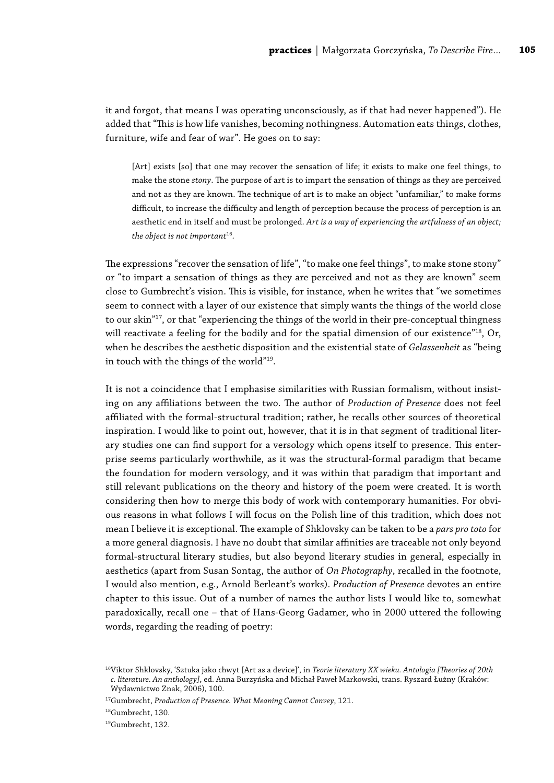it and forgot, that means I was operating unconsciously, as if that had never happened"). He added that "This is how life vanishes, becoming nothingness. Automation eats things, clothes, furniture, wife and fear of war". He goes on to say:

[Art] exists [so] that one may recover the sensation of life; it exists to make one feel things, to make the stone *stony*. The purpose of art is to impart the sensation of things as they are perceived and not as they are known. The technique of art is to make an object "unfamiliar," to make forms difficult, to increase the difficulty and length of perception because the process of perception is an aesthetic end in itself and must be prolonged. *Art is a way of experiencing the artfulness of an object; the object is not important*16.

The expressions "recover the sensation of life", "to make one feel things", to make stone stony" or "to impart a sensation of things as they are perceived and not as they are known" seem close to Gumbrecht's vision. This is visible, for instance, when he writes that "we sometimes seem to connect with a layer of our existence that simply wants the things of the world close to our skin"<sup>17</sup>, or that "experiencing the things of the world in their pre-conceptual thingness will reactivate a feeling for the bodily and for the spatial dimension of our existence"<sup>18</sup>, Or, when he describes the aesthetic disposition and the existential state of *Gelassenheit* as "being in touch with the things of the world"19.

It is not a coincidence that I emphasise similarities with Russian formalism, without insisting on any affiliations between the two. The author of *Production of Presence* does not feel affiliated with the formal-structural tradition; rather, he recalls other sources of theoretical inspiration. I would like to point out, however, that it is in that segment of traditional literary studies one can find support for a versology which opens itself to presence. This enterprise seems particularly worthwhile, as it was the structural-formal paradigm that became the foundation for modern versology, and it was within that paradigm that important and still relevant publications on the theory and history of the poem were created. It is worth considering then how to merge this body of work with contemporary humanities. For obvious reasons in what follows I will focus on the Polish line of this tradition, which does not mean I believe it is exceptional. The example of Shklovsky can be taken to be a *pars pro toto* for a more general diagnosis. I have no doubt that similar affinities are traceable not only beyond formal-structural literary studies, but also beyond literary studies in general, especially in aesthetics (apart from Susan Sontag, the author of *On Photography*, recalled in the footnote, I would also mention, e.g., Arnold Berleant's works). *Production of Presence* devotes an entire chapter to this issue. Out of a number of names the author lists I would like to, somewhat paradoxically, recall one – that of Hans-Georg Gadamer, who in 2000 uttered the following words, regarding the reading of poetry:

<sup>16</sup>Viktor Shklovsky, 'Sztuka jako chwyt [Art as a device]', in *Teorie literatury XX wieku. Antologia [Theories of 20th c. literature. An anthology]*, ed. Anna Burzyńska and Michał Paweł Markowski, trans. Ryszard Łużny (Kraków: Wydawnictwo Znak, 2006), 100.

<sup>17</sup>Gumbrecht, *Production of Presence. What Meaning Cannot Convey*, 121.

<sup>18</sup>Gumbrecht, 130.

<sup>19</sup>Gumbrecht, 132.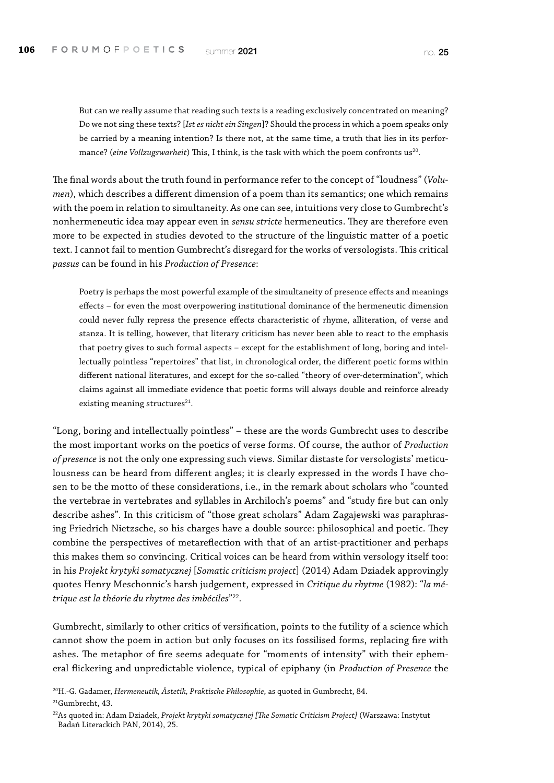But can we really assume that reading such texts is a reading exclusively concentrated on meaning? Do we not sing these texts? [*Ist es nicht ein Singen*]? Should the process in which a poem speaks only be carried by a meaning intention? Is there not, at the same time, a truth that lies in its performance? (*eine Vollzugswarheit*) This, I think, is the task with which the poem confronts us<sup>20</sup>.

The final words about the truth found in performance refer to the concept of "loudness" (*Volumen*), which describes a different dimension of a poem than its semantics; one which remains with the poem in relation to simultaneity. As one can see, intuitions very close to Gumbrecht's nonhermeneutic idea may appear even in *sensu stricte* hermeneutics. They are therefore even more to be expected in studies devoted to the structure of the linguistic matter of a poetic text. I cannot fail to mention Gumbrecht's disregard for the works of versologists. This critical *passus* can be found in his *Production of Presence*:

Poetry is perhaps the most powerful example of the simultaneity of presence effects and meanings effects – for even the most overpowering institutional dominance of the hermeneutic dimension could never fully repress the presence effects characteristic of rhyme, alliteration, of verse and stanza. It is telling, however, that literary criticism has never been able to react to the emphasis that poetry gives to such formal aspects – except for the establishment of long, boring and intellectually pointless "repertoires" that list, in chronological order, the different poetic forms within different national literatures, and except for the so-called "theory of over-determination", which claims against all immediate evidence that poetic forms will always double and reinforce already existing meaning structures<sup>21</sup>.

"Long, boring and intellectually pointless" – these are the words Gumbrecht uses to describe the most important works on the poetics of verse forms. Of course, the author of *Production of presence* is not the only one expressing such views. Similar distaste for versologists' meticulousness can be heard from different angles; it is clearly expressed in the words I have chosen to be the motto of these considerations, i.e., in the remark about scholars who "counted the vertebrae in vertebrates and syllables in Archiloch's poems" and "study fire but can only describe ashes". In this criticism of "those great scholars" Adam Zagajewski was paraphrasing Friedrich Nietzsche, so his charges have a double source: philosophical and poetic. They combine the perspectives of metareflection with that of an artist-practitioner and perhaps this makes them so convincing. Critical voices can be heard from within versology itself too: in his *Projekt krytyki somatycznej* [*Somatic criticism project*] (2014) Adam Dziadek approvingly quotes Henry Meschonnic's harsh judgement, expressed in *Critique du rhytme* (1982): "*la métrique est la théorie du rhytme des imbéciles*"22.

Gumbrecht, similarly to other critics of versification, points to the futility of a science which cannot show the poem in action but only focuses on its fossilised forms, replacing fire with ashes. The metaphor of fire seems adequate for "moments of intensity" with their ephemeral flickering and unpredictable violence, typical of epiphany (in *Production of Presence* the

20H.-G. Gadamer, *Hermeneutik, Ästetik, Praktische Philosophie*, as quoted in Gumbrecht, 84. 21Gumbrecht, 43.

<sup>22</sup>As quoted in: Adam Dziadek, *Projekt krytyki somatycznej [The Somatic Criticism Project]* (Warszawa: Instytut Badań Literackich PAN, 2014), 25.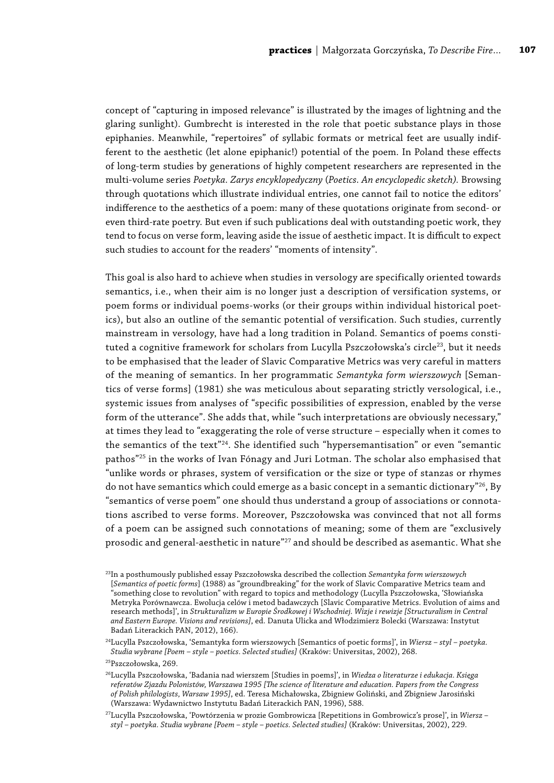concept of "capturing in imposed relevance" is illustrated by the images of lightning and the glaring sunlight). Gumbrecht is interested in the role that poetic substance plays in those epiphanies. Meanwhile, "repertoires" of syllabic formats or metrical feet are usually indifferent to the aesthetic (let alone epiphanic!) potential of the poem. In Poland these effects of long-term studies by generations of highly competent researchers are represented in the multi-volume series *Poetyka. Zarys encyklopedyczny* (*Poetics. An encyclopedic sketch).* Browsing through quotations which illustrate individual entries, one cannot fail to notice the editors' indifference to the aesthetics of a poem: many of these quotations originate from second- or even third-rate poetry. But even if such publications deal with outstanding poetic work, they tend to focus on verse form, leaving aside the issue of aesthetic impact. It is difficult to expect such studies to account for the readers' "moments of intensity".

This goal is also hard to achieve when studies in versology are specifically oriented towards semantics, i.e., when their aim is no longer just a description of versification systems, or poem forms or individual poems-works (or their groups within individual historical poetics), but also an outline of the semantic potential of versification. Such studies, currently mainstream in versology, have had a long tradition in Poland. Semantics of poems constituted a cognitive framework for scholars from Lucylla Pszczołowska's circle<sup>23</sup>, but it needs to be emphasised that the leader of Slavic Comparative Metrics was very careful in matters of the meaning of semantics. In her programmatic *Semantyka form wierszowych* [Semantics of verse forms] (1981) she was meticulous about separating strictly versological, i.e., systemic issues from analyses of "specific possibilities of expression, enabled by the verse form of the utterance". She adds that, while "such interpretations are obviously necessary," at times they lead to "exaggerating the role of verse structure – especially when it comes to the semantics of the text"<sup>24</sup>. She identified such "hypersemantisation" or even "semantic pathos"25 in the works of Ivan Fónagy and Juri Lotman. The scholar also emphasised that "unlike words or phrases, system of versification or the size or type of stanzas or rhymes do not have semantics which could emerge as a basic concept in a semantic dictionary"<sup>26</sup>, By "semantics of verse poem" one should thus understand a group of associations or connotations ascribed to verse forms. Moreover, Pszczołowska was convinced that not all forms of a poem can be assigned such connotations of meaning; some of them are "exclusively prosodic and general-aesthetic in nature"<sup>27</sup> and should be described as asemantic. What she

<sup>23</sup>In a posthumously published essay Pszczołowska described the collection *Semantyka form wierszowych* [*Semantics of poetic forms*] (1988) as "groundbreaking" for the work of Slavic Comparative Metrics team and "something close to revolution" with regard to topics and methodology (Lucylla Pszczołowska, 'Słowiańska Metryka Porównawcza. Ewolucja celów i metod badawczych [Slavic Comparative Metrics. Evolution of aims and research methods]', in *Strukturalizm w Europie Środkowej i Wschodniej. Wizje i rewizje [Structuralism in Central and Eastern Europe. Visions and revisions]*, ed. Danuta Ulicka and Włodzimierz Bolecki (Warszawa: Instytut Badań Literackich PAN, 2012), 166).

<sup>24</sup>Lucylla Pszczołowska, 'Semantyka form wierszowych [Semantics of poetic forms]', in *Wiersz – styl – poetyka. Studia wybrane [Poem – style – poetics. Selected studies]* (Kraków: Universitas, 2002), 268.

<sup>25</sup>Pszczołowska, 269.

<sup>26</sup>Lucylla Pszczołowska, 'Badania nad wierszem [Studies in poems]', in *Wiedza o literaturze i edukacja. Księga referatów Zjazdu Polonistów, Warszawa 1995 [The science of literature and education. Papers from the Congress of Polish philologists, Warsaw 1995]*, ed. Teresa Michałowska, Zbigniew Goliński, and Zbigniew Jarosiński (Warszawa: Wydawnictwo Instytutu Badań Literackich PAN, 1996), 588.

<sup>27</sup>Lucylla Pszczołowska, 'Powtórzenia w prozie Gombrowicza [Repetitions in Gombrowicz's prose]', in *Wiersz – styl – poetyka. Studia wybrane [Poem – style – poetics. Selected studies]* (Kraków: Universitas, 2002), 229.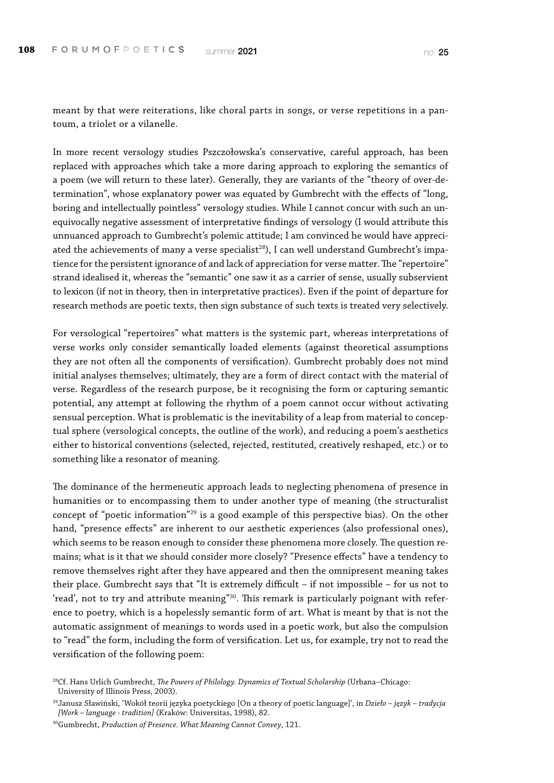meant by that were reiterations, like choral parts in songs, or verse repetitions in a pantoum, a triolet or a vilanelle.

In more recent versology studies Pszczołowska's conservative, careful approach, has been replaced with approaches which take a more daring approach to exploring the semantics of a poem (we will return to these later). Generally, they are variants of the "theory of over-determination", whose explanatory power was equated by Gumbrecht with the effects of "long, boring and intellectually pointless" versology studies. While I cannot concur with such an unequivocally negative assessment of interpretative findings of versology (I would attribute this unnuanced approach to Gumbrecht's polemic attitude; I am convinced he would have appreciated the achievements of many a verse specialist<sup>28</sup>), I can well understand Gumbrecht's impatience for the persistent ignorance of and lack of appreciation for verse matter. The "repertoire" strand idealised it, whereas the "semantic" one saw it as a carrier of sense, usually subservient to lexicon (if not in theory, then in interpretative practices). Even if the point of departure for research methods are poetic texts, then sign substance of such texts is treated very selectively.

For versological "repertoires" what matters is the systemic part, whereas interpretations of verse works only consider semantically loaded elements (against theoretical assumptions they are not often all the components of versification). Gumbrecht probably does not mind initial analyses themselves; ultimately, they are a form of direct contact with the material of verse. Regardless of the research purpose, be it recognising the form or capturing semantic potential, any attempt at following the rhythm of a poem cannot occur without activating sensual perception. What is problematic is the inevitability of a leap from material to conceptual sphere (versological concepts, the outline of the work), and reducing a poem's aesthetics either to historical conventions (selected, rejected, restituted, creatively reshaped, etc.) or to something like a resonator of meaning.

The dominance of the hermeneutic approach leads to neglecting phenomena of presence in humanities or to encompassing them to under another type of meaning (the structuralist concept of "poetic information"29 is a good example of this perspective bias). On the other hand, "presence effects" are inherent to our aesthetic experiences (also professional ones), which seems to be reason enough to consider these phenomena more closely. The question remains; what is it that we should consider more closely? "Presence effects" have a tendency to remove themselves right after they have appeared and then the omnipresent meaning takes their place. Gumbrecht says that "It is extremely difficult – if not impossible – for us not to 'read', not to try and attribute meaning"<sup>30</sup>. This remark is particularly poignant with reference to poetry, which is a hopelessly semantic form of art. What is meant by that is not the automatic assignment of meanings to words used in a poetic work, but also the compulsion to "read" the form, including the form of versification. Let us, for example, try not to read the versification of the following poem:

<sup>28</sup>Cf. Hans Urlich Gumbrecht, *The Powers of Philology. Dynamics of Textual Scholarship* (Urbana–Chicago: University of Illinois Press, 2003).

<sup>29</sup>Janusz Sławiński, 'Wokół teorii języka poetyckiego [On a theory of poetic language]', in *Dzieło – język – tradycja [Work – language - tradition]* (Kraków: Universitas, 1998), 82.

<sup>30</sup>Gumbrecht, *Production of Presence. What Meaning Cannot Convey*, 121.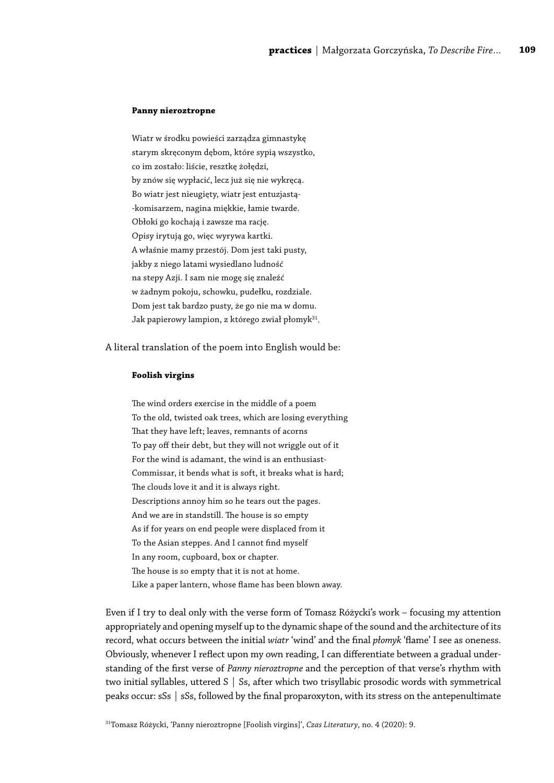#### **Panny nieroztropne**

Wiatr w środku powieści zarządza gimnastykę starym skręconym dębom, które sypią wszystko, co im zostało: liście, resztkę żołędzi, by znów się wypłacić, lecz już się nie wykręcą. Bo wiatr jest nieugięty, wiatr jest entuzjastą- -komisarzem, nagina miękkie, łamie twarde. Obłoki go kochają i zawsze ma rację. Opisy irytują go, więc wyrywa kartki. A właśnie mamy przestój. Dom jest taki pusty, jakby z niego latami wysiedlano ludność na stepy Azji. I sam nie mogę się znaleźć w żadnym pokoju, schowku, pudełku, rozdziale. Dom jest tak bardzo pusty, że go nie ma w domu. Jak papierowy lampion, z którego zwiał płomyk<sup>31</sup>.

A literal translation of the poem into English would be:

#### **Foolish virgins**

The wind orders exercise in the middle of a poem To the old, twisted oak trees, which are losing everything That they have left; leaves, remnants of acorns To pay off their debt, but they will not wriggle out of it For the wind is adamant, the wind is an enthusiast-Commissar, it bends what is soft, it breaks what is hard; The clouds love it and it is always right. Descriptions annoy him so he tears out the pages. And we are in standstill. The house is so empty As if for years on end people were displaced from it To the Asian steppes. And I cannot find myself In any room, cupboard, box or chapter. The house is so empty that it is not at home. Like a paper lantern, whose flame has been blown away.

Even if I try to deal only with the verse form of Tomasz Różycki's work – focusing my attention appropriately and opening myself up to the dynamic shape of the sound and the architecture of its record, what occurs between the initial *wiatr* 'wind' and the final *płomyk* 'flame' I see as oneness. Obviously, whenever I reflect upon my own reading, I can differentiate between a gradual understanding of the first verse of *Panny nieroztropne* and the perception of that verse's rhythm with two initial syllables, uttered S | Ss, after which two trisyllabic prosodic words with symmetrical peaks occur: sSs | sSs, followed by the final proparoxyton, with its stress on the antepenultimate

31Tomasz Różycki, 'Panny nieroztropne [Foolish virgins]', *Czas Literatury*, no. 4 (2020): 9.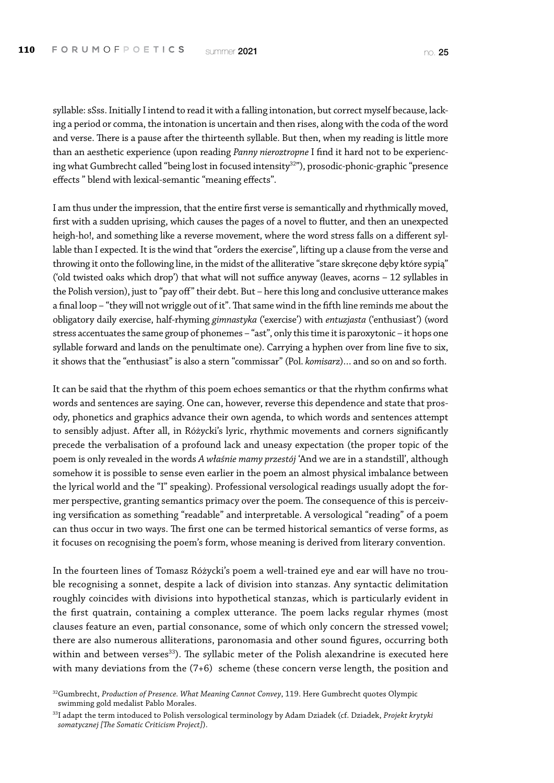syllable: sSss. Initially I intend to read it with a falling intonation, but correct myself because, lacking a period or comma, the intonation is uncertain and then rises, along with the coda of the word and verse. There is a pause after the thirteenth syllable. But then, when my reading is little more than an aesthetic experience (upon reading *Panny nieroztropne* I find it hard not to be experiencing what Gumbrecht called "being lost in focused intensity<sup>32"</sup>), prosodic-phonic-graphic "presence effects " blend with lexical-semantic "meaning effects".

I am thus under the impression, that the entire first verse is semantically and rhythmically moved, first with a sudden uprising, which causes the pages of a novel to flutter, and then an unexpected heigh-ho!, and something like a reverse movement, where the word stress falls on a different syllable than I expected. It is the wind that "orders the exercise", lifting up a clause from the verse and throwing it onto the following line, in the midst of the alliterative "stare skręcone dęby które sypią" ('old twisted oaks which drop') that what will not suffice anyway (leaves, acorns – 12 syllables in the Polish version), just to "pay off" their debt. But – here this long and conclusive utterance makes a final loop – "they will not wriggle out of it". That same wind in the fifth line reminds me about the obligatory daily exercise, half-rhyming *gimnastyka* ('exercise') with *entuzjasta* ('enthusiast') (word stress accentuates the same group of phonemes – "ast", only this time it is paroxytonic – it hops one syllable forward and lands on the penultimate one). Carrying a hyphen over from line five to six, it shows that the "enthusiast" is also a stern "commissar" (Pol. *komisarz*)… and so on and so forth.

It can be said that the rhythm of this poem echoes semantics or that the rhythm confirms what words and sentences are saying. One can, however, reverse this dependence and state that prosody, phonetics and graphics advance their own agenda, to which words and sentences attempt to sensibly adjust. After all, in Różycki's lyric, rhythmic movements and corners significantly precede the verbalisation of a profound lack and uneasy expectation (the proper topic of the poem is only revealed in the words *A właśnie mamy przestój* 'And we are in a standstill', although somehow it is possible to sense even earlier in the poem an almost physical imbalance between the lyrical world and the "I" speaking). Professional versological readings usually adopt the former perspective, granting semantics primacy over the poem. The consequence of this is perceiving versification as something "readable" and interpretable. A versological "reading" of a poem can thus occur in two ways. The first one can be termed historical semantics of verse forms, as it focuses on recognising the poem's form, whose meaning is derived from literary convention.

In the fourteen lines of Tomasz Różycki's poem a well-trained eye and ear will have no trouble recognising a sonnet, despite a lack of division into stanzas. Any syntactic delimitation roughly coincides with divisions into hypothetical stanzas, which is particularly evident in the first quatrain, containing a complex utterance. The poem lacks regular rhymes (most clauses feature an even, partial consonance, some of which only concern the stressed vowel; there are also numerous alliterations, paronomasia and other sound figures, occurring both within and between verses<sup>33</sup>). The syllabic meter of the Polish alexandrine is executed here with many deviations from the (7+6) scheme (these concern verse length, the position and

<sup>32</sup>Gumbrecht, *Production of Presence. What Meaning Cannot Convey*, 119. Here Gumbrecht quotes Olympic swimming gold medalist Pablo Morales.

<sup>33</sup>I adapt the term intoduced to Polish versological terminology by Adam Dziadek (cf. Dziadek, *Projekt krytyki somatycznej [The Somatic Criticism Project]*).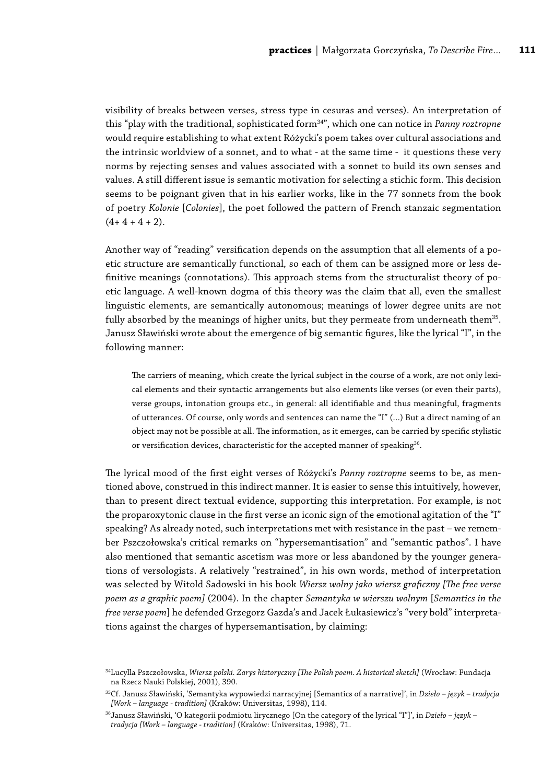visibility of breaks between verses, stress type in cesuras and verses). An interpretation of this "play with the traditional, sophisticated form<sup>34"</sup>, which one can notice in *Panny roztropne* would require establishing to what extent Różycki's poem takes over cultural associations and the intrinsic worldview of a sonnet, and to what - at the same time - it questions these very norms by rejecting senses and values associated with a sonnet to build its own senses and values. A still different issue is semantic motivation for selecting a stichic form. This decision seems to be poignant given that in his earlier works, like in the 77 sonnets from the book of poetry *Kolonie* [*Colonies*], the poet followed the pattern of French stanzaic segmentation  $(4+4+4+2)$ .

Another way of "reading" versification depends on the assumption that all elements of a poetic structure are semantically functional, so each of them can be assigned more or less definitive meanings (connotations). This approach stems from the structuralist theory of poetic language. A well-known dogma of this theory was the claim that all, even the smallest linguistic elements, are semantically autonomous; meanings of lower degree units are not fully absorbed by the meanings of higher units, but they permeate from underneath them<sup>35</sup>. Janusz Sławiński wrote about the emergence of big semantic figures, like the lyrical "I", in the following manner:

The carriers of meaning, which create the lyrical subject in the course of a work, are not only lexical elements and their syntactic arrangements but also elements like verses (or even their parts), verse groups, intonation groups etc., in general: all identifiable and thus meaningful, fragments of utterances. Of course, only words and sentences can name the "I" (…) But a direct naming of an object may not be possible at all. The information, as it emerges, can be carried by specific stylistic or versification devices, characteristic for the accepted manner of speaking<sup>36</sup>.

The lyrical mood of the first eight verses of Różycki's *Panny roztropne* seems to be, as mentioned above, construed in this indirect manner. It is easier to sense this intuitively, however, than to present direct textual evidence, supporting this interpretation. For example, is not the proparoxytonic clause in the first verse an iconic sign of the emotional agitation of the "I" speaking? As already noted, such interpretations met with resistance in the past – we remember Pszczołowska's critical remarks on "hypersemantisation" and "semantic pathos". I have also mentioned that semantic ascetism was more or less abandoned by the younger generations of versologists. A relatively "restrained", in his own words, method of interpretation was selected by Witold Sadowski in his book *Wiersz wolny jako wiersz graficzny [The free verse poem as a graphic poem]* (2004). In the chapter *Semantyka w wierszu wolnym* [*Semantics in the free verse poem*] he defended Grzegorz Gazda's and Jacek Łukasiewicz's "very bold" interpretations against the charges of hypersemantisation, by claiming:

<sup>34</sup>Lucylla Pszczołowska, *Wiersz polski. Zarys historyczny [The Polish poem. A historical sketch]* (Wrocław: Fundacja na Rzecz Nauki Polskiej, 2001), 390.

<sup>35</sup>Cf. Janusz Sławiński, 'Semantyka wypowiedzi narracyjnej [Semantics of a narrative]', in *Dzieło – język – tradycja [Work – language - tradition]* (Kraków: Universitas, 1998), 114.

<sup>36</sup>Janusz Sławiński, 'O kategorii podmiotu lirycznego [On the category of the lyrical "I"]', in *Dzieło – język – tradycja [Work – language - tradition]* (Kraków: Universitas, 1998), 71.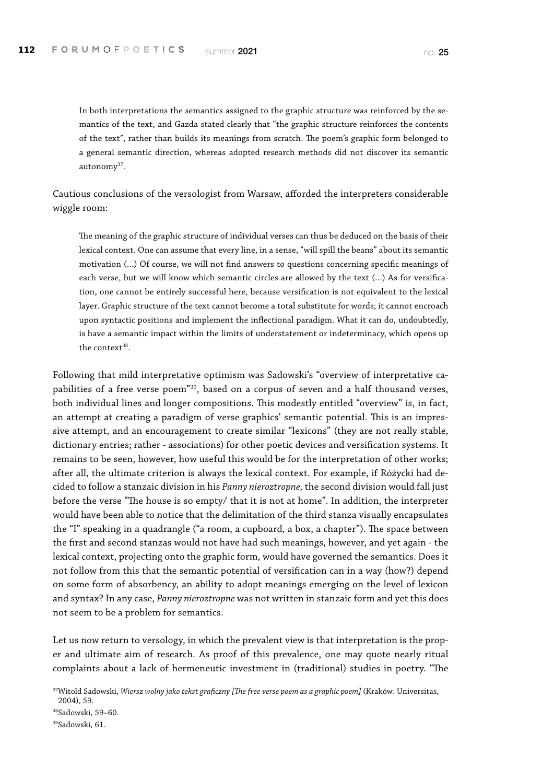In both interpretations the semantics assigned to the graphic structure was reinforced by the semantics of the text, and Gazda stated clearly that "the graphic structure reinforces the contents of the text", rather than builds its meanings from scratch. The poem's graphic form belonged to a general semantic direction, whereas adopted research methods did not discover its semantic autonomy<sup>37</sup>.

Cautious conclusions of the versologist from Warsaw, afforded the interpreters considerable wiggle room:

The meaning of the graphic structure of individual verses can thus be deduced on the basis of their lexical context. One can assume that every line, in a sense, "will spill the beans" about its semantic motivation (…) Of course, we will not find answers to questions concerning specific meanings of each verse, but we will know which semantic circles are allowed by the text (…) As for versification, one cannot be entirely successful here, because versification is not equivalent to the lexical layer. Graphic structure of the text cannot become a total substitute for words; it cannot encroach upon syntactic positions and implement the inflectional paradigm. What it can do, undoubtedly, is have a semantic impact within the limits of understatement or indeterminacy, which opens up the context $38$ .

Following that mild interpretative optimism was Sadowski's "overview of interpretative capabilities of a free verse poem"39, based on a corpus of seven and a half thousand verses, both individual lines and longer compositions. This modestly entitled "overview" is, in fact, an attempt at creating a paradigm of verse graphics' semantic potential. This is an impressive attempt, and an encouragement to create similar "lexicons" (they are not really stable, dictionary entries; rather - associations) for other poetic devices and versification systems. It remains to be seen, however, how useful this would be for the interpretation of other works; after all, the ultimate criterion is always the lexical context. For example, if Różycki had decided to follow a stanzaic division in his *Panny nieroztropne,* the second division would fall just before the verse "The house is so empty/ that it is not at home". In addition, the interpreter would have been able to notice that the delimitation of the third stanza visually encapsulates the "I" speaking in a quadrangle ("a room, a cupboard, a box, a chapter"). The space between the first and second stanzas would not have had such meanings, however, and yet again - the lexical context, projecting onto the graphic form, would have governed the semantics. Does it not follow from this that the semantic potential of versification can in a way (how?) depend on some form of absorbency, an ability to adopt meanings emerging on the level of lexicon and syntax? In any case, *Panny nieroztropne* was not written in stanzaic form and yet this does not seem to be a problem for semantics.

Let us now return to versology, in which the prevalent view is that interpretation is the proper and ultimate aim of research. As proof of this prevalence, one may quote nearly ritual complaints about a lack of hermeneutic investment in (traditional) studies in poetry. "The

<sup>37</sup>Witold Sadowski, *Wiersz wolny jako tekst graficzny [The free verse poem as a graphic poem]* (Kraków: Universitas,

<sup>2004), 59.</sup> 38Sadowski, 59–60.

<sup>39</sup>Sadowski, 61.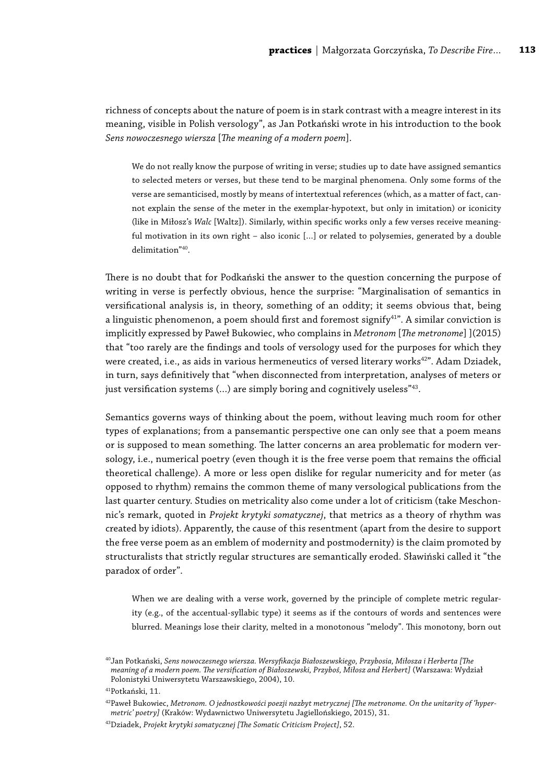richness of concepts about the nature of poem is in stark contrast with a meagre interest in its meaning, visible in Polish versology", as Jan Potkański wrote in his introduction to the book *Sens nowoczesnego wiersza* [*The meaning of a modern poem*].

We do not really know the purpose of writing in verse; studies up to date have assigned semantics to selected meters or verses, but these tend to be marginal phenomena. Only some forms of the verse are semanticised, mostly by means of intertextual references (which, as a matter of fact, cannot explain the sense of the meter in the exemplar-hypotext, but only in imitation) or iconicity (like in Miłosz's *Walc* [Waltz]). Similarly, within specific works only a few verses receive meaningful motivation in its own right – also iconic […] or related to polysemies, generated by a double delimitation"40.

There is no doubt that for Podkański the answer to the question concerning the purpose of writing in verse is perfectly obvious, hence the surprise: "Marginalisation of semantics in versificational analysis is, in theory, something of an oddity; it seems obvious that, being a linguistic phenomenon, a poem should first and foremost signify<sup>41"</sup>. A similar conviction is implicitly expressed by Paweł Bukowiec, who complains in *Metronom* [*The metronome*] ](2015) that "too rarely are the findings and tools of versology used for the purposes for which they were created, i.e., as aids in various hermeneutics of versed literary works<sup>42"</sup>. Adam Dziadek, in turn, says definitively that "when disconnected from interpretation, analyses of meters or just versification systems (...) are simply boring and cognitively useless<sup>"43</sup>.

Semantics governs ways of thinking about the poem, without leaving much room for other types of explanations; from a pansemantic perspective one can only see that a poem means or is supposed to mean something. The latter concerns an area problematic for modern versology, i.e., numerical poetry (even though it is the free verse poem that remains the official theoretical challenge). A more or less open dislike for regular numericity and for meter (as opposed to rhythm) remains the common theme of many versological publications from the last quarter century. Studies on metricality also come under a lot of criticism (take Meschonnic's remark, quoted in *Projekt krytyki somatycznej*, that metrics as a theory of rhythm was created by idiots). Apparently, the cause of this resentment (apart from the desire to support the free verse poem as an emblem of modernity and postmodernity) is the claim promoted by structuralists that strictly regular structures are semantically eroded. Sławiński called it "the paradox of order".

When we are dealing with a verse work, governed by the principle of complete metric regularity (e.g., of the accentual-syllabic type) it seems as if the contours of words and sentences were blurred. Meanings lose their clarity, melted in a monotonous "melody". This monotony, born out

<sup>40</sup>Jan Potkański, *Sens nowoczesnego wiersza. Wersyfikacja Białoszewskiego, Przybosia, Miłosza i Herberta [The meaning of a modern poem. The versification of Białoszewski, Przyboś, Miłosz and Herbert]* (Warszawa: Wydział Polonistyki Uniwersytetu Warszawskiego, 2004), 10.

<sup>41</sup>Potkański, 11.

<sup>42</sup>Paweł Bukowiec, *Metronom. O jednostkowości poezji nazbyt metrycznej [The metronome. On the unitarity of 'hypermetric' poetry]* (Kraków: Wydawnictwo Uniwersytetu Jagiellońskiego, 2015), 31.

<sup>43</sup>Dziadek, *Projekt krytyki somatycznej [The Somatic Criticism Project]*, 52.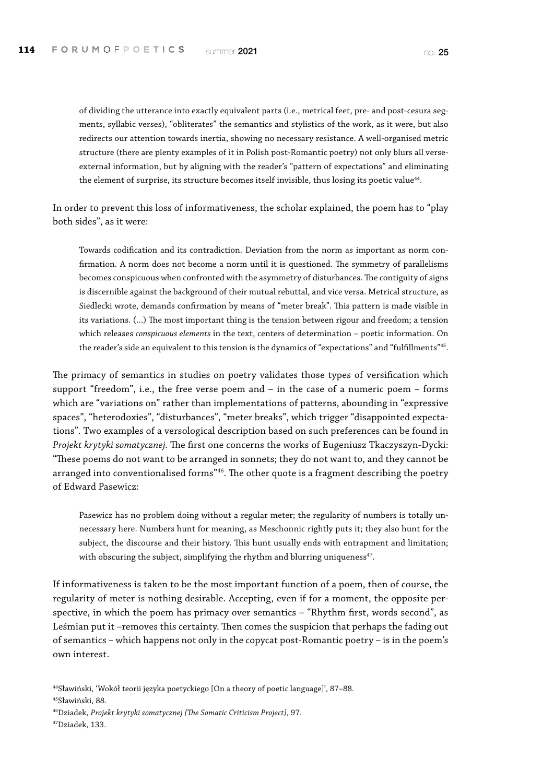of dividing the utterance into exactly equivalent parts (i.e., metrical feet, pre- and post-cesura segments, syllabic verses), "obliterates" the semantics and stylistics of the work, as it were, but also redirects our attention towards inertia, showing no necessary resistance. A well-organised metric structure (there are plenty examples of it in Polish post-Romantic poetry) not only blurs all verseexternal information, but by aligning with the reader's "pattern of expectations" and eliminating the element of surprise, its structure becomes itself invisible, thus losing its poetic value<sup>44</sup>.

In order to prevent this loss of informativeness, the scholar explained, the poem has to "play both sides", as it were:

Towards codification and its contradiction. Deviation from the norm as important as norm confirmation. A norm does not become a norm until it is questioned. The symmetry of parallelisms becomes conspicuous when confronted with the asymmetry of disturbances. The contiguity of signs is discernible against the background of their mutual rebuttal, and vice versa. Metrical structure, as Siedlecki wrote, demands confirmation by means of "meter break". This pattern is made visible in its variations. (…) The most important thing is the tension between rigour and freedom; a tension which releases *conspicuous elements* in the text, centers of determination – poetic information. On the reader's side an equivalent to this tension is the dynamics of "expectations" and "fulfillments"45.

The primacy of semantics in studies on poetry validates those types of versification which support "freedom", i.e., the free verse poem and – in the case of a numeric poem – forms which are "variations on" rather than implementations of patterns, abounding in "expressive spaces", "heterodoxies", "disturbances", "meter breaks", which trigger "disappointed expectations". Two examples of a versological description based on such preferences can be found in *Projekt krytyki somatycznej.* The first one concerns the works of Eugeniusz Tkaczyszyn-Dycki: "These poems do not want to be arranged in sonnets; they do not want to, and they cannot be arranged into conventionalised forms<sup>"46</sup>. The other quote is a fragment describing the poetry of Edward Pasewicz:

Pasewicz has no problem doing without a regular meter; the regularity of numbers is totally unnecessary here. Numbers hunt for meaning, as Meschonnic rightly puts it; they also hunt for the subject, the discourse and their history. This hunt usually ends with entrapment and limitation; with obscuring the subject, simplifying the rhythm and blurring uniqueness<sup>47</sup>.

If informativeness is taken to be the most important function of a poem, then of course, the regularity of meter is nothing desirable. Accepting, even if for a moment, the opposite perspective, in which the poem has primacy over semantics – "Rhythm first, words second", as Leśmian put it –removes this certainty. Then comes the suspicion that perhaps the fading out of semantics – which happens not only in the copycat post-Romantic poetry – is in the poem's own interest.

45Sławiński, 88.

<sup>44</sup>Sławiński, 'Wokół teorii języka poetyckiego [On a theory of poetic language]', 87–88.

<sup>46</sup>Dziadek, *Projekt krytyki somatycznej [The Somatic Criticism Project]*, 97.

<sup>47</sup>Dziadek, 133.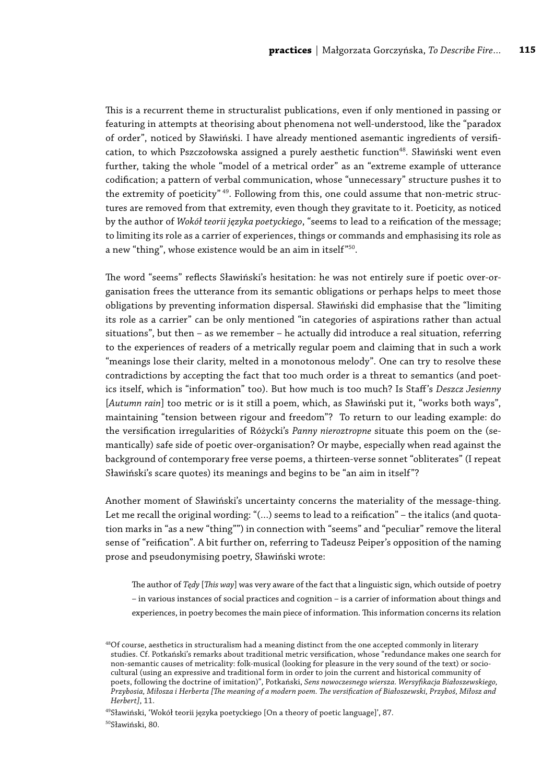This is a recurrent theme in structuralist publications, even if only mentioned in passing or featuring in attempts at theorising about phenomena not well-understood, like the "paradox of order", noticed by Sławiński. I have already mentioned asemantic ingredients of versification, to which Pszczołowska assigned a purely aesthetic function<sup>48</sup>. Sławiński went even further, taking the whole "model of a metrical order" as an "extreme example of utterance codification; a pattern of verbal communication, whose "unnecessary" structure pushes it to the extremity of poeticity"<sup>49</sup>. Following from this, one could assume that non-metric structures are removed from that extremity, even though they gravitate to it. Poeticity, as noticed by the author of *Wokół teorii języka poetyckiego*, "seems to lead to a reification of the message; to limiting its role as a carrier of experiences, things or commands and emphasising its role as a new "thing", whose existence would be an aim in itself"50.

The word "seems" reflects Sławiński's hesitation: he was not entirely sure if poetic over-organisation frees the utterance from its semantic obligations or perhaps helps to meet those obligations by preventing information dispersal. Sławiński did emphasise that the "limiting its role as a carrier" can be only mentioned "in categories of aspirations rather than actual situations", but then – as we remember – he actually did introduce a real situation, referring to the experiences of readers of a metrically regular poem and claiming that in such a work "meanings lose their clarity, melted in a monotonous melody". One can try to resolve these contradictions by accepting the fact that too much order is a threat to semantics (and poetics itself, which is "information" too). But how much is too much? Is Staff's *Deszcz Jesienny*  [*Autumn rain*] too metric or is it still a poem, which, as Sławiński put it, "works both ways", maintaining "tension between rigour and freedom"? To return to our leading example: do the versification irregularities of Różycki's *Panny nieroztropne* situate this poem on the (semantically) safe side of poetic over-organisation? Or maybe, especially when read against the background of contemporary free verse poems, a thirteen-verse sonnet "obliterates" (I repeat Sławiński's scare quotes) its meanings and begins to be "an aim in itself"?

Another moment of Sławiński's uncertainty concerns the materiality of the message-thing. Let me recall the original wording: "(...) seems to lead to a reification" – the italics (and quotation marks in "as a new "thing"") in connection with "seems" and "peculiar" remove the literal sense of "reification". A bit further on, referring to Tadeusz Peiper's opposition of the naming prose and pseudonymising poetry, Sławiński wrote:

The author of *Tędy* [*This way*] was very aware of the fact that a linguistic sign, which outside of poetry – in various instances of social practices and cognition – is a carrier of information about things and experiences, in poetry becomes the main piece of information. This information concerns its relation

49Sławiński, 'Wokół teorii języka poetyckiego [On a theory of poetic language]', 87. 50Sławiński, 80.

<sup>&</sup>lt;sup>48</sup>Of course, aesthetics in structuralism had a meaning distinct from the one accepted commonly in literary studies. Cf. Potkański's remarks about traditional metric versification, whose "redundance makes one search for non-semantic causes of metricality: folk-musical (looking for pleasure in the very sound of the text) or sociocultural (using an expressive and traditional form in order to join the current and historical community of poets, following the doctrine of imitation)", Potkański, *Sens nowoczesnego wiersza. Wersyfikacja Białoszewskiego, Przybosia, Miłosza i Herberta [The meaning of a modern poem. The versification of Białoszewski, Przyboś, Miłosz and Herbert]*, 11.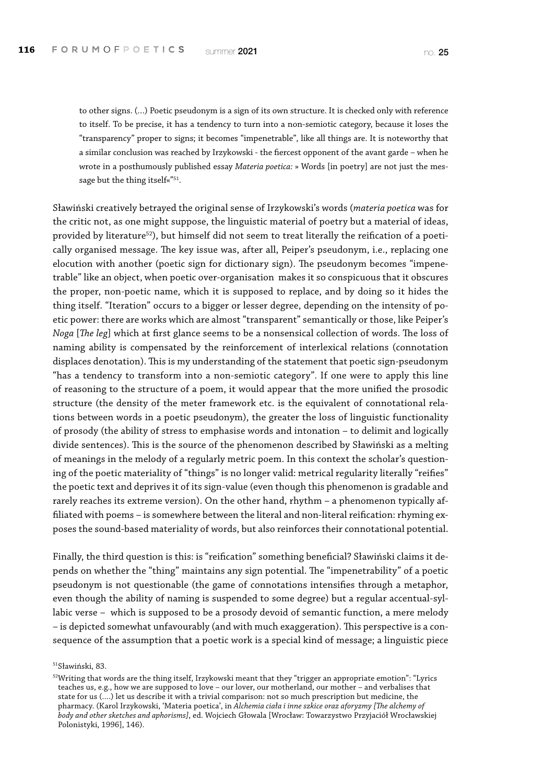to other signs. (…) Poetic pseudonym is a sign of its own structure. It is checked only with reference to itself. To be precise, it has a tendency to turn into a non-semiotic category, because it loses the "transparency" proper to signs; it becomes "impenetrable", like all things are. It is noteworthy that a similar conclusion was reached by Irzykowski - the fiercest opponent of the avant garde – when he wrote in a posthumously published essay *Materia poetica:* » Words [in poetry] are not just the message but the thing itself«"<sup>51</sup>.

Sławiński creatively betrayed the original sense of Irzykowski's words (*materia poetica* was for the critic not, as one might suppose, the linguistic material of poetry but a material of ideas, provided by literature<sup>52</sup>), but himself did not seem to treat literally the reification of a poetically organised message. The key issue was, after all, Peiper's pseudonym, i.e., replacing one elocution with another (poetic sign for dictionary sign). The pseudonym becomes "impenetrable" like an object, when poetic over-organisation makes it so conspicuous that it obscures the proper, non-poetic name, which it is supposed to replace, and by doing so it hides the thing itself. "Iteration" occurs to a bigger or lesser degree, depending on the intensity of poetic power: there are works which are almost "transparent" semantically or those, like Peiper's *Noga* [*The leg*] which at first glance seems to be a nonsensical collection of words. The loss of naming ability is compensated by the reinforcement of interlexical relations (connotation displaces denotation). This is my understanding of the statement that poetic sign-pseudonym "has a tendency to transform into a non-semiotic category". If one were to apply this line of reasoning to the structure of a poem, it would appear that the more unified the prosodic structure (the density of the meter framework etc. is the equivalent of connotational relations between words in a poetic pseudonym), the greater the loss of linguistic functionality of prosody (the ability of stress to emphasise words and intonation – to delimit and logically divide sentences). This is the source of the phenomenon described by Sławiński as a melting of meanings in the melody of a regularly metric poem. In this context the scholar's questioning of the poetic materiality of "things" is no longer valid: metrical regularity literally "reifies" the poetic text and deprives it of its sign-value (even though this phenomenon is gradable and rarely reaches its extreme version). On the other hand, rhythm – a phenomenon typically affiliated with poems – is somewhere between the literal and non-literal reification: rhyming exposes the sound-based materiality of words, but also reinforces their connotational potential.

Finally, the third question is this: is "reification" something beneficial? Sławiński claims it depends on whether the "thing" maintains any sign potential. The "impenetrability" of a poetic pseudonym is not questionable (the game of connotations intensifies through a metaphor, even though the ability of naming is suspended to some degree) but a regular accentual-syllabic verse – which is supposed to be a prosody devoid of semantic function, a mere melody – is depicted somewhat unfavourably (and with much exaggeration). This perspective is a consequence of the assumption that a poetic work is a special kind of message; a linguistic piece

51Sławiński, 83.

<sup>&</sup>lt;sup>52</sup>Writing that words are the thing itself, Irzykowski meant that they "trigger an appropriate emotion": "Lyrics teaches us, e.g., how we are supposed to love – our lover, our motherland, our mother – and verbalises that state for us (….) let us describe it with a trivial comparison: not so much prescription but medicine, the pharmacy. (Karol Irzykowski, 'Materia poetica', in *Alchemia ciała i inne szkice oraz aforyzmy [The alchemy of body and other sketches and aphorisms]*, ed. Wojciech Głowala [Wrocław: Towarzystwo Przyjaciół Wrocławskiej Polonistyki, 1996], 146).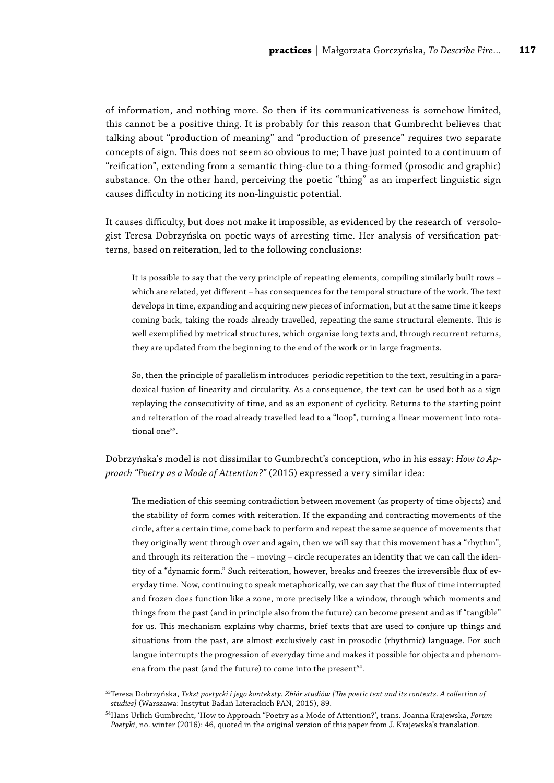of information, and nothing more. So then if its communicativeness is somehow limited, this cannot be a positive thing. It is probably for this reason that Gumbrecht believes that talking about "production of meaning" and "production of presence" requires two separate concepts of sign. This does not seem so obvious to me; I have just pointed to a continuum of "reification", extending from a semantic thing-clue to a thing-formed (prosodic and graphic) substance. On the other hand, perceiving the poetic "thing" as an imperfect linguistic sign causes difficulty in noticing its non-linguistic potential.

It causes difficulty, but does not make it impossible, as evidenced by the research of versologist Teresa Dobrzyńska on poetic ways of arresting time. Her analysis of versification patterns, based on reiteration, led to the following conclusions:

It is possible to say that the very principle of repeating elements, compiling similarly built rows – which are related, yet different – has consequences for the temporal structure of the work. The text develops in time, expanding and acquiring new pieces of information, but at the same time it keeps coming back, taking the roads already travelled, repeating the same structural elements. This is well exemplified by metrical structures, which organise long texts and, through recurrent returns, they are updated from the beginning to the end of the work or in large fragments.

So, then the principle of parallelism introduces periodic repetition to the text, resulting in a paradoxical fusion of linearity and circularity. As a consequence, the text can be used both as a sign replaying the consecutivity of time, and as an exponent of cyclicity. Returns to the starting point and reiteration of the road already travelled lead to a "loop", turning a linear movement into rotational one<sup>53</sup>.

Dobrzyńska's model is not dissimilar to Gumbrecht's conception, who in his essay: *How to Approach "Poetry as a Mode of Attention?"* (2015) expressed a very similar idea:

The mediation of this seeming contradiction between movement (as property of time objects) and the stability of form comes with reiteration. If the expanding and contracting movements of the circle, after a certain time, come back to perform and repeat the same sequence of movements that they originally went through over and again, then we will say that this movement has a "rhythm", and through its reiteration the – moving – circle recuperates an identity that we can call the identity of a "dynamic form." Such reiteration, however, breaks and freezes the irreversible flux of everyday time. Now, continuing to speak metaphorically, we can say that the flux of time interrupted and frozen does function like a zone, more precisely like a window, through which moments and things from the past (and in principle also from the future) can become present and as if "tangible" for us. This mechanism explains why charms, brief texts that are used to conjure up things and situations from the past, are almost exclusively cast in prosodic (rhythmic) language. For such langue interrupts the progression of everyday time and makes it possible for objects and phenomena from the past (and the future) to come into the present $54$ .

<sup>53</sup>Teresa Dobrzyńska, *Tekst poetycki i jego konteksty. Zbiór studiów [The poetic text and its contexts. A collection of studies]* (Warszawa: Instytut Badań Literackich PAN, 2015), 89.

<sup>54</sup>Hans Urlich Gumbrecht, 'How to Approach "Poetry as a Mode of Attention?', trans. Joanna Krajewska, *Forum Poetyki*, no. winter (2016): 46, quoted in the original version of this paper from J. Krajewska's translation.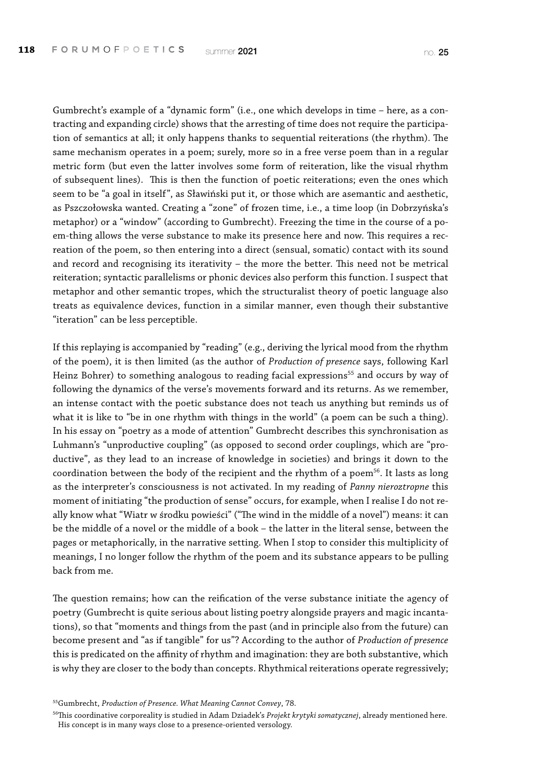Gumbrecht's example of a "dynamic form" (i.e., one which develops in time – here, as a contracting and expanding circle) shows that the arresting of time does not require the participation of semantics at all; it only happens thanks to sequential reiterations (the rhythm). The same mechanism operates in a poem; surely, more so in a free verse poem than in a regular metric form (but even the latter involves some form of reiteration, like the visual rhythm of subsequent lines). This is then the function of poetic reiterations; even the ones which seem to be "a goal in itself", as Sławiński put it, or those which are asemantic and aesthetic, as Pszczołowska wanted. Creating a "zone" of frozen time, i.e., a time loop (in Dobrzyńska's metaphor) or a "window" (according to Gumbrecht). Freezing the time in the course of a poem-thing allows the verse substance to make its presence here and now. This requires a recreation of the poem, so then entering into a direct (sensual, somatic) contact with its sound and record and recognising its iterativity – the more the better. This need not be metrical reiteration; syntactic parallelisms or phonic devices also perform this function. I suspect that metaphor and other semantic tropes, which the structuralist theory of poetic language also treats as equivalence devices, function in a similar manner, even though their substantive "iteration" can be less perceptible.

If this replaying is accompanied by "reading" (e.g., deriving the lyrical mood from the rhythm of the poem), it is then limited (as the author of *Production of presence* says, following Karl Heinz Bohrer) to something analogous to reading facial expressions<sup>55</sup> and occurs by way of following the dynamics of the verse's movements forward and its returns. As we remember, an intense contact with the poetic substance does not teach us anything but reminds us of what it is like to "be in one rhythm with things in the world" (a poem can be such a thing). In his essay on "poetry as a mode of attention" Gumbrecht describes this synchronisation as Luhmann's "unproductive coupling" (as opposed to second order couplings, which are "productive", as they lead to an increase of knowledge in societies) and brings it down to the coordination between the body of the recipient and the rhythm of a poem<sup>56</sup>. It lasts as long as the interpreter's consciousness is not activated. In my reading of *Panny nieroztropne* this moment of initiating "the production of sense" occurs, for example, when I realise I do not really know what "Wiatr w środku powieści" ("The wind in the middle of a novel") means: it can be the middle of a novel or the middle of a book – the latter in the literal sense, between the pages or metaphorically, in the narrative setting. When I stop to consider this multiplicity of meanings, I no longer follow the rhythm of the poem and its substance appears to be pulling back from me.

The question remains; how can the reification of the verse substance initiate the agency of poetry (Gumbrecht is quite serious about listing poetry alongside prayers and magic incantations), so that "moments and things from the past (and in principle also from the future) can become present and "as if tangible" for us"? According to the author of *Production of presence*  this is predicated on the affinity of rhythm and imagination: they are both substantive, which is why they are closer to the body than concepts. Rhythmical reiterations operate regressively;

<sup>55</sup>Gumbrecht, *Production of Presence. What Meaning Cannot Convey*, 78.

<sup>56</sup>This coordinative corporeality is studied in Adam Dziadek's *Projekt krytyki somatycznej*, already mentioned here. His concept is in many ways close to a presence-oriented versology.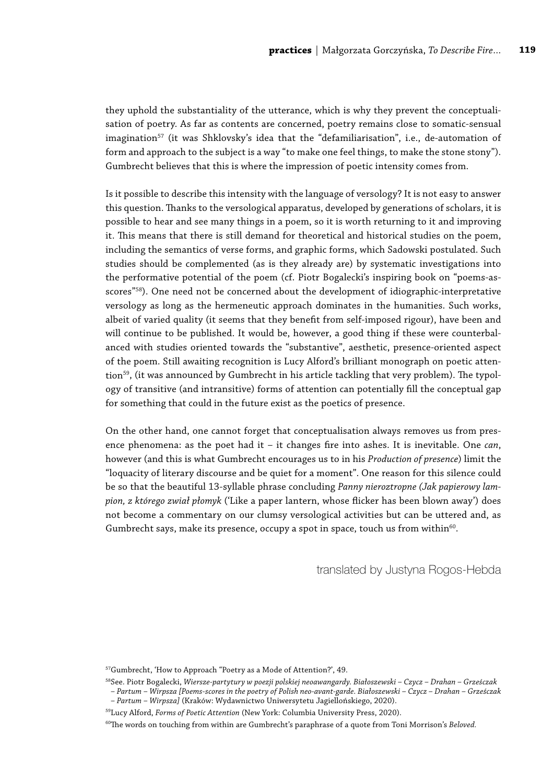they uphold the substantiality of the utterance, which is why they prevent the conceptualisation of poetry. As far as contents are concerned, poetry remains close to somatic-sensual imagination<sup>57</sup> (it was Shklovsky's idea that the "defamiliarisation", i.e., de-automation of form and approach to the subject is a way "to make one feel things, to make the stone stony"). Gumbrecht believes that this is where the impression of poetic intensity comes from.

Is it possible to describe this intensity with the language of versology? It is not easy to answer this question. Thanks to the versological apparatus, developed by generations of scholars, it is possible to hear and see many things in a poem, so it is worth returning to it and improving it. This means that there is still demand for theoretical and historical studies on the poem, including the semantics of verse forms, and graphic forms, which Sadowski postulated. Such studies should be complemented (as is they already are) by systematic investigations into the performative potential of the poem (cf. Piotr Bogalecki's inspiring book on "poems-asscores"<sup>58</sup>). One need not be concerned about the development of idiographic-interpretative versology as long as the hermeneutic approach dominates in the humanities. Such works, albeit of varied quality (it seems that they benefit from self-imposed rigour), have been and will continue to be published. It would be, however, a good thing if these were counterbalanced with studies oriented towards the "substantive", aesthetic, presence-oriented aspect of the poem. Still awaiting recognition is Lucy Alford's brilliant monograph on poetic attention59, (it was announced by Gumbrecht in his article tackling that very problem). The typology of transitive (and intransitive) forms of attention can potentially fill the conceptual gap for something that could in the future exist as the poetics of presence.

On the other hand, one cannot forget that conceptualisation always removes us from presence phenomena: as the poet had it – it changes fire into ashes. It is inevitable. One *can*, however (and this is what Gumbrecht encourages us to in his *Production of presence*) limit the "loquacity of literary discourse and be quiet for a moment". One reason for this silence could be so that the beautiful 13-syllable phrase concluding *Panny nieroztropne (Jak papierowy lampion, z którego zwiał płomyk* ('Like a paper lantern, whose flicker has been blown away') does not become a commentary on our clumsy versological activities but can be uttered and, as Gumbrecht says, make its presence, occupy a spot in space, touch us from within<sup>60</sup>.

translated by Justyna Rogos-Hebda

<sup>57</sup>Gumbrecht, 'How to Approach "Poetry as a Mode of Attention?', 49.

<sup>58</sup>See. Piotr Bogalecki, *Wiersze-partytury w poezji polskiej neoawangardy. Białoszewski – Czycz – Drahan – Grześczak* 

*<sup>–</sup> Partum – Wirpsza [Poems-scores in the poetry of Polish neo-avant-garde. Białoszewski – Czycz – Drahan – Grześczak – Partum – Wirpsza]* (Kraków: Wydawnictwo Uniwersytetu Jagiellońskiego, 2020).

<sup>59</sup>Lucy Alford, *Forms of Poetic Attention* (New York: Columbia University Press, 2020).

<sup>&</sup>lt;sup>60</sup>The words on touching from within are Gumbrecht's paraphrase of a quote from Toni Morrison's *Beloved*.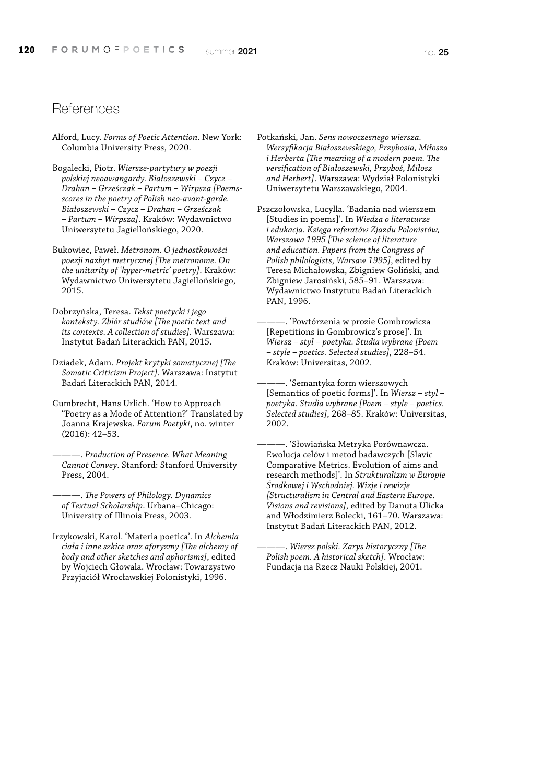### **References**

- Alford, Lucy. *Forms of Poetic Attention*. New York: Columbia University Press, 2020.
- Bogalecki, Piotr. *Wiersze-partytury w poezji polskiej neoawangardy. Białoszewski – Czycz – Drahan – Grześczak – Partum – Wirpsza [Poemsscores in the poetry of Polish neo-avant-garde. Białoszewski – Czycz – Drahan – Grześczak – Partum – Wirpsza]*. Kraków: Wydawnictwo Uniwersytetu Jagiellońskiego, 2020.
- Bukowiec, Paweł. *Metronom. O jednostkowości poezji nazbyt metrycznej [The metronome. On the unitarity of 'hyper-metric' poetry]*. Kraków: Wydawnictwo Uniwersytetu Jagiellońskiego, 2015.
- Dobrzyńska, Teresa. *Tekst poetycki i jego konteksty. Zbiór studiów [The poetic text and its contexts. A collection of studies]*. Warszawa: Instytut Badań Literackich PAN, 2015.
- Dziadek, Adam. *Projekt krytyki somatycznej [The Somatic Criticism Project]*. Warszawa: Instytut Badań Literackich PAN, 2014.
- Gumbrecht, Hans Urlich. 'How to Approach "Poetry as a Mode of Attention?' Translated by Joanna Krajewska. *Forum Poetyki*, no. winter (2016): 42–53.
- ———. *Production of Presence. What Meaning Cannot Convey*. Stanford: Stanford University Press, 2004.
- ———. *The Powers of Philology. Dynamics of Textual Scholarship*. Urbana–Chicago: University of Illinois Press, 2003.
- Irzykowski, Karol. 'Materia poetica'. In *Alchemia ciała i inne szkice oraz aforyzmy [The alchemy of body and other sketches and aphorisms]*, edited by Wojciech Głowala. Wrocław: Towarzystwo Przyjaciół Wrocławskiej Polonistyki, 1996.
- Potkański, Jan. *Sens nowoczesnego wiersza. Wersyfikacja Białoszewskiego, Przybosia, Miłosza i Herberta [The meaning of a modern poem. The versification of Białoszewski, Przyboś, Miłosz and Herbert]*. Warszawa: Wydział Polonistyki Uniwersytetu Warszawskiego, 2004.
- Pszczołowska, Lucylla. 'Badania nad wierszem [Studies in poems]'. In *Wiedza o literaturze i edukacja. Księga referatów Zjazdu Polonistów, Warszawa 1995 [The science of literature and education. Papers from the Congress of Polish philologists, Warsaw 1995]*, edited by Teresa Michałowska, Zbigniew Goliński, and Zbigniew Jarosiński, 585–91. Warszawa: Wydawnictwo Instytutu Badań Literackich PAN, 1996.
	- ———. 'Powtórzenia w prozie Gombrowicza [Repetitions in Gombrowicz's prose]'. In *Wiersz – styl – poetyka. Studia wybrane [Poem – style – poetics. Selected studies]*, 228–54. Kraków: Universitas, 2002.
	- ———. 'Semantyka form wierszowych [Semantics of poetic forms]'. In *Wiersz – styl – poetyka. Studia wybrane [Poem – style – poetics. Selected studies]*, 268–85. Kraków: Universitas, 2002.
	- ———. 'Słowiańska Metryka Porównawcza. Ewolucja celów i metod badawczych [Slavic Comparative Metrics. Evolution of aims and research methods]'. In *Strukturalizm w Europie Środkowej i Wschodniej. Wizje i rewizje [Structuralism in Central and Eastern Europe. Visions and revisions]*, edited by Danuta Ulicka and Włodzimierz Bolecki, 161–70. Warszawa: Instytut Badań Literackich PAN, 2012.
	- ———. *Wiersz polski. Zarys historyczny [The Polish poem. A historical sketch]*. Wrocław: Fundacja na Rzecz Nauki Polskiej, 2001.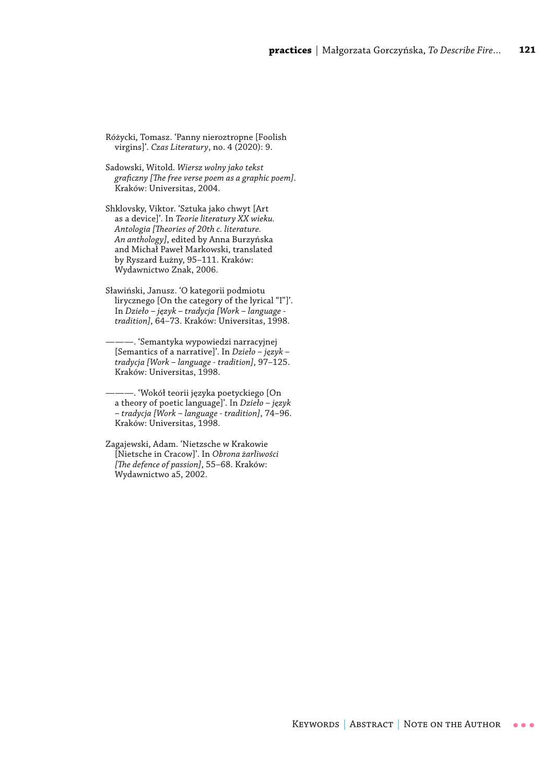Różycki, Tomasz. 'Panny nieroztropne [Foolish virgins]'. *Czas Literatury*, no. 4 (2020): 9.

Sadowski, Witold. *Wiersz wolny jako tekst graficzny [The free verse poem as a graphic poem]*. Kraków: Universitas, 2004.

Shklovsky, Viktor. 'Sztuka jako chwyt [Art as a device]'. In *Teorie literatury XX wieku. Antologia [Theories of 20th c. literature. An anthology]*, edited by Anna Burzyńska and Michał Paweł Markowski, translated by Ryszard Łużny, 95–111. Kraków: Wydawnictwo Znak, 2006.

Sławiński, Janusz. 'O kategorii podmiotu lirycznego [On the category of the lyrical "I"]'. In *Dzieło – język – tradycja [Work – language tradition]*, 64–73. Kraków: Universitas, 1998.

———. 'Semantyka wypowiedzi narracyjnej [Semantics of a narrative]'. In *Dzieło – język – tradycja [Work – language - tradition]*, 97–125. Kraków: Universitas, 1998.

———. 'Wokół teorii języka poetyckiego [On a theory of poetic language]'. In *Dzieło – język – tradycja [Work – language - tradition]*, 74–96. Kraków: Universitas, 1998.

Zagajewski, Adam. 'Nietzsche w Krakowie [Nietsche in Cracow]'. In *Obrona żarliwości [The defence of passion]*, 55–68. Kraków: Wydawnictwo a5, 2002.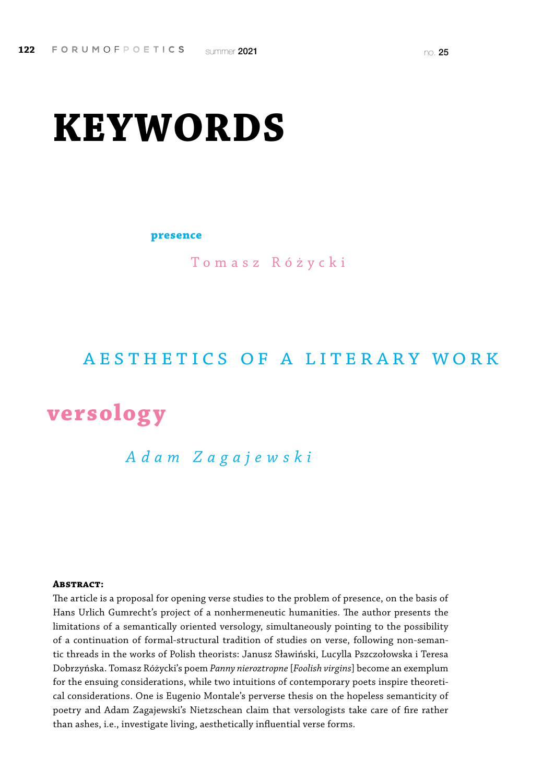# **KEYWORDS**

**presence**

Tomasz Różycki

## aesthetics of a literary work

## **versology**

## *Adam Zagajewski*

#### **Abstract:**

The article is a proposal for opening verse studies to the problem of presence, on the basis of Hans Urlich Gumrecht's project of a nonhermeneutic humanities. The author presents the limitations of a semantically oriented versology, simultaneously pointing to the possibility of a continuation of formal-structural tradition of studies on verse, following non-semantic threads in the works of Polish theorists: Janusz Sławiński, Lucylla Pszczołowska i Teresa Dobrzyńska. Tomasz Różycki's poem *Panny nieroztropne* [*Foolish virgins*] become an exemplum for the ensuing considerations, while two intuitions of contemporary poets inspire theoretical considerations. One is Eugenio Montale's perverse thesis on the hopeless semanticity of poetry and Adam Zagajewski's Nietzschean claim that versologists take care of fire rather than ashes, i.e., investigate living, aesthetically influential verse forms.